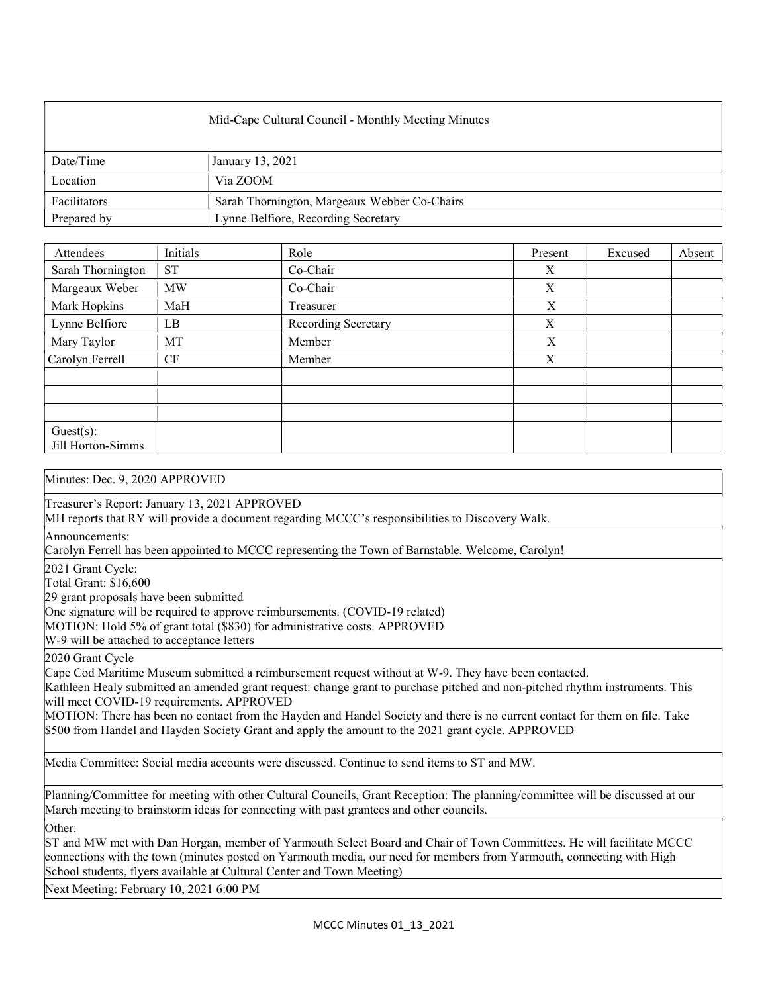| Mid-Cape Cultural Council - Monthly Meeting Minutes |                                              |  |  |
|-----------------------------------------------------|----------------------------------------------|--|--|
| Date/Time                                           | January 13, 2021                             |  |  |
| Location                                            | Via ZOOM                                     |  |  |
| Facilitators                                        | Sarah Thornington, Margeaux Webber Co-Chairs |  |  |
| Prepared by                                         | Lynne Belfiore, Recording Secretary          |  |  |

| Attendees                      | Initials  | Role                | Present | Excused | Absent |
|--------------------------------|-----------|---------------------|---------|---------|--------|
| Sarah Thornington              | <b>ST</b> | Co-Chair            | X       |         |        |
| Margeaux Weber                 | <b>MW</b> | Co-Chair            | X       |         |        |
| Mark Hopkins                   | MaH       | Treasurer           | X       |         |        |
| Lynne Belfiore                 | LB        | Recording Secretary | X       |         |        |
| Mary Taylor                    | MT        | Member              | X       |         |        |
| Carolyn Ferrell                | CF        | Member              | X       |         |        |
|                                |           |                     |         |         |        |
|                                |           |                     |         |         |        |
|                                |           |                     |         |         |        |
| Guest(s):<br>Jill Horton-Simms |           |                     |         |         |        |

## Minutes: Dec. 9, 2020 APPROVED

Treasurer's Report: January 13, 2021 APPROVED

MH reports that RY will provide a document regarding MCCC's responsibilities to Discovery Walk.

Announcements:

Carolyn Ferrell has been appointed to MCCC representing the Town of Barnstable. Welcome, Carolyn!

2021 Grant Cycle:

Total Grant: \$16,600

29 grant proposals have been submitted

One signature will be required to approve reimbursements. (COVID-19 related)

MOTION: Hold 5% of grant total (\$830) for administrative costs. APPROVED

W-9 will be attached to acceptance letters

2020 Grant Cycle

Cape Cod Maritime Museum submitted a reimbursement request without at W-9. They have been contacted.

Kathleen Healy submitted an amended grant request: change grant to purchase pitched and non-pitched rhythm instruments. This will meet COVID-19 requirements. APPROVED

MOTION: There has been no contact from the Hayden and Handel Society and there is no current contact for them on file. Take \$500 from Handel and Hayden Society Grant and apply the amount to the 2021 grant cycle. APPROVED

Media Committee: Social media accounts were discussed. Continue to send items to ST and MW.

Planning/Committee for meeting with other Cultural Councils, Grant Reception: The planning/committee will be discussed at our March meeting to brainstorm ideas for connecting with past grantees and other councils.

Other:

ST and MW met with Dan Horgan, member of Yarmouth Select Board and Chair of Town Committees. He will facilitate MCCC connections with the town (minutes posted on Yarmouth media, our need for members from Yarmouth, connecting with High School students, flyers available at Cultural Center and Town Meeting)

Next Meeting: February 10, 2021 6:00 PM